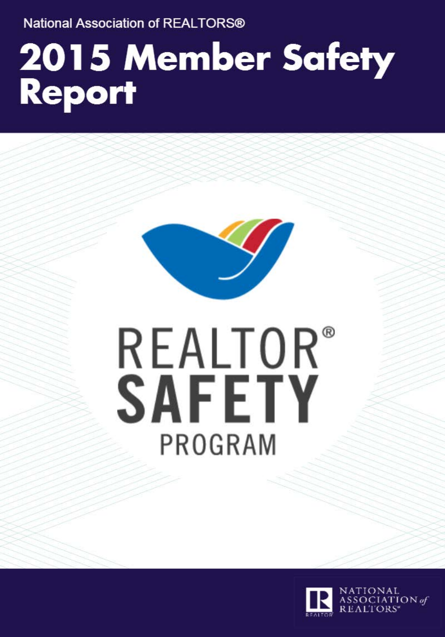**National Association of REALTORS®** 

# 2015 Member Safety Report



# **REALTOR®** SAFETY PROGRAM



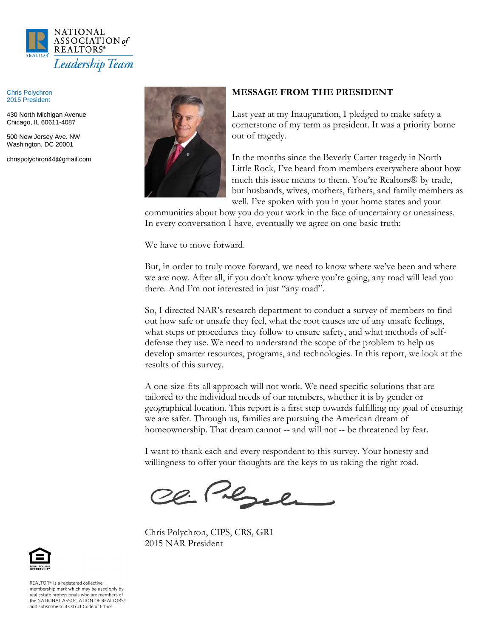

Chris Polychron 2015 President

430 North Michigan Avenue Chicago, IL 60611-4087

500 New Jersey Ave. NW Washington, DC 20001

chrispolychron44@gmail.com



#### **MESSAGE FROM THE PRESIDENT**

Last year at my Inauguration, I pledged to make safety a cornerstone of my term as president. It was a priority borne out of tragedy.

In the months since the Beverly Carter tragedy in North Little Rock, I've heard from members everywhere about how much this issue means to them. You're Realtors® by trade, but husbands, wives, mothers, fathers, and family members as well. I've spoken with you in your home states and your

communities about how you do your work in the face of uncertainty or uneasiness. In every conversation I have, eventually we agree on one basic truth:

We have to move forward.

But, in order to truly move forward, we need to know where we've been and where we are now. After all, if you don't know where you're going, any road will lead you there. And I'm not interested in just "any road".

So, I directed NAR's research department to conduct a survey of members to find out how safe or unsafe they feel, what the root causes are of any unsafe feelings, what steps or procedures they follow to ensure safety, and what methods of selfdefense they use. We need to understand the scope of the problem to help us develop smarter resources, programs, and technologies. In this report, we look at the results of this survey.

A one-size-fits-all approach will not work. We need specific solutions that are tailored to the individual needs of our members, whether it is by gender or geographical location. This report is a first step towards fulfilling my goal of ensuring we are safer. Through us, families are pursuing the American dream of homeownership. That dream cannot -- and will not -- be threatened by fear.

I want to thank each and every respondent to this survey. Your honesty and willingness to offer your thoughts are the keys to us taking the right road.

20 Perce

Chris Polychron, CIPS, CRS, GRI 2015 NAR President



REALTOR® is a registered collective membership mark which may be used only by real estate professionals who are members of the NATIONAL ASSOCIATION OF REALTORS® and subscribe to its strict Code of Ethics.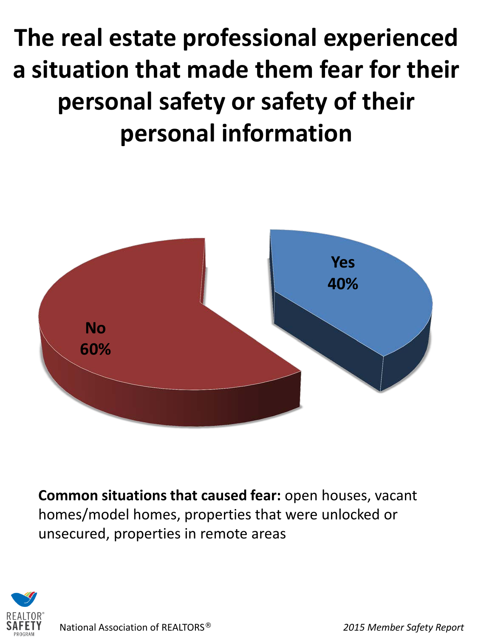**The real estate professional experienced a situation that made them fear for their personal safety or safety of their personal information**



**Common situations that caused fear:** open houses, vacant homes/model homes, properties that were unlocked or unsecured, properties in remote areas

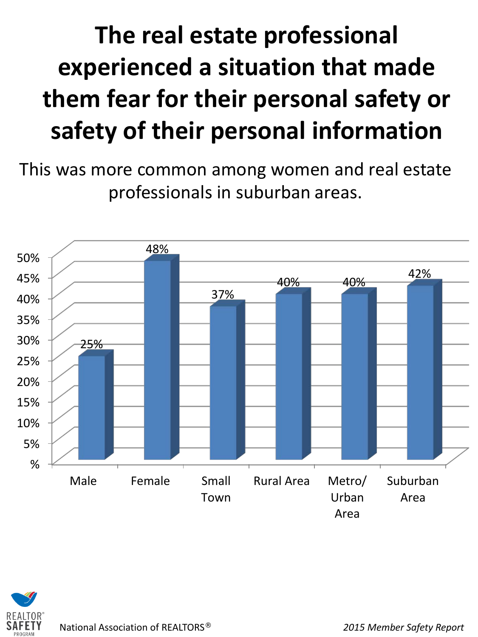#### **The real estate professional experienced a situation that made them fear for their personal safety or safety of their personal information**

This was more common among women and real estate professionals in suburban areas.



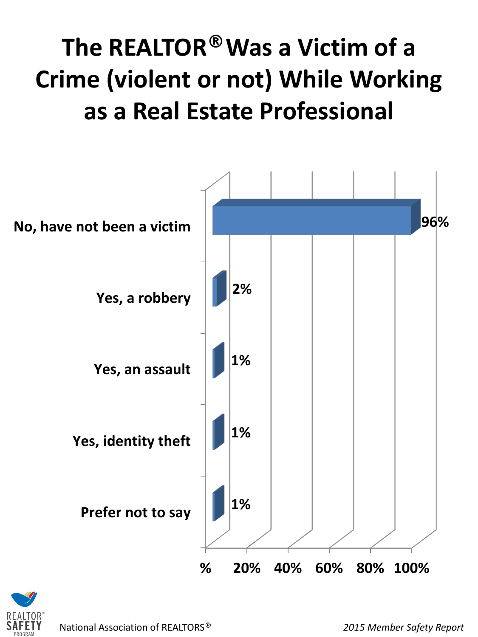#### **The REALTOR® Was a Victim of a Crime (violent or not) While Working as a Real Estate Professional**



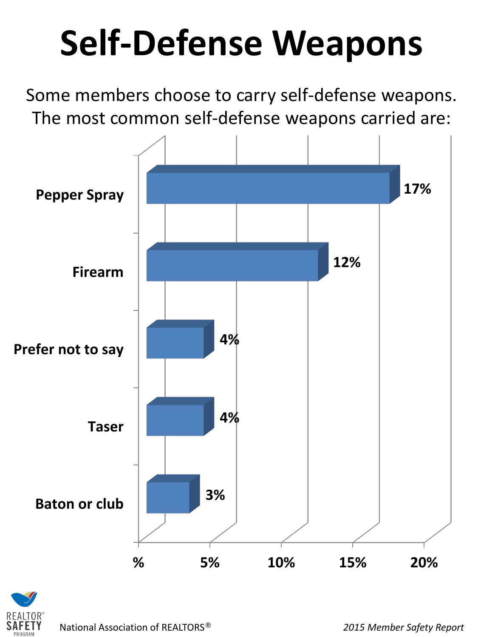# **Self-Defense Weapons**

Some members choose to carry self-defense weapons. The most common self-defense weapons carried are:



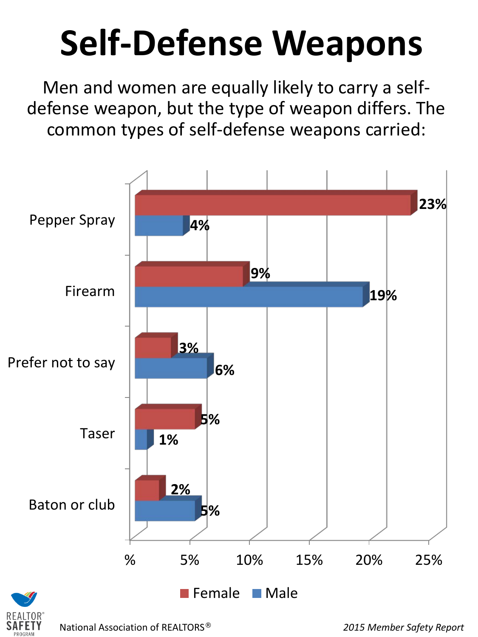## **Self-Defense Weapons**

Men and women are equally likely to carry a selfdefense weapon, but the type of weapon differs. The common types of self-defense weapons carried:



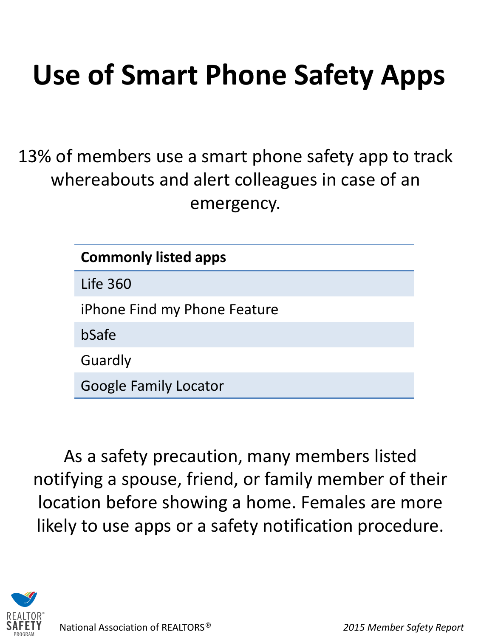#### **Use of Smart Phone Safety Apps**

13% of members use a smart phone safety app to track whereabouts and alert colleagues in case of an emergency.

| <b>Commonly listed apps</b>  |  |
|------------------------------|--|
| <b>Life 360</b>              |  |
| iPhone Find my Phone Feature |  |
| bSafe                        |  |
| Guardly                      |  |
| <b>Google Family Locator</b> |  |

As a safety precaution, many members listed notifying a spouse, friend, or family member of their location before showing a home. Females are more likely to use apps or a safety notification procedure.

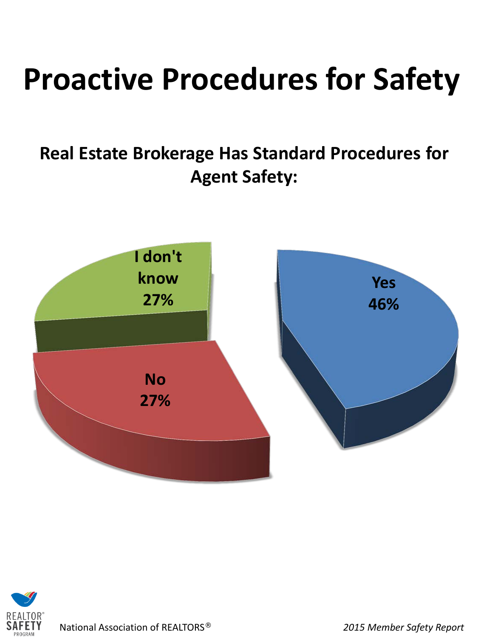### **Proactive Procedures for Safety**

**Real Estate Brokerage Has Standard Procedures for Agent Safety:**



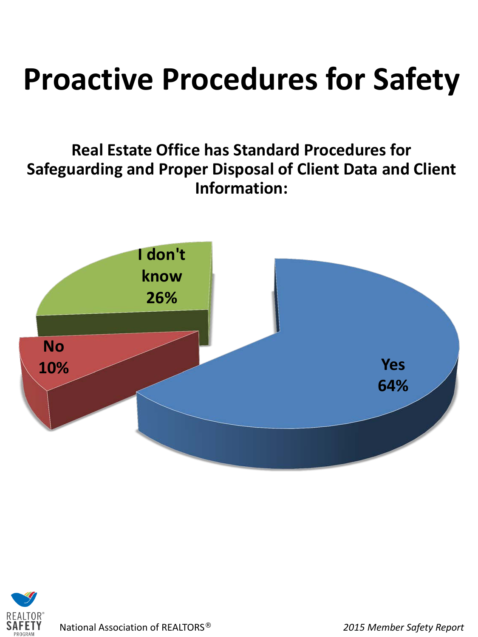#### **Proactive Procedures for Safety**

#### **Real Estate Office has Standard Procedures for Safeguarding and Proper Disposal of Client Data and Client Information:**



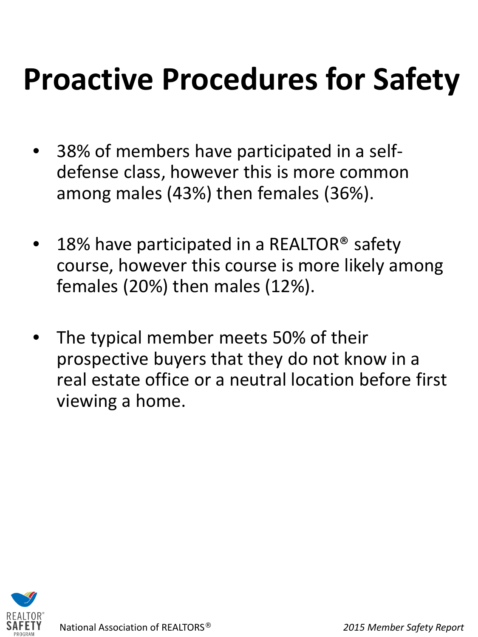### **Proactive Procedures for Safety**

- 38% of members have participated in a selfdefense class, however this is more common among males (43%) then females (36%).
- 18% have participated in a REALTOR<sup>®</sup> safety course, however this course is more likely among females (20%) then males (12%).
- The typical member meets 50% of their prospective buyers that they do not know in a real estate office or a neutral location before first viewing a home.